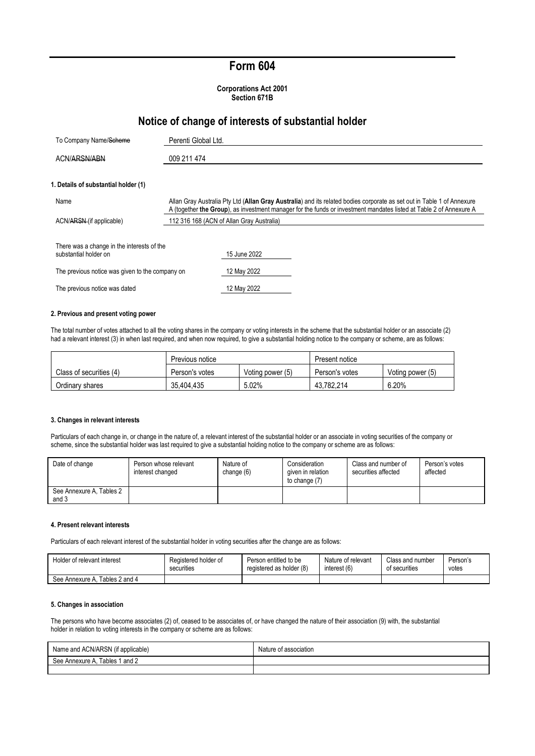# **Form 604**

**Corporations Act 2001 Section 671B**

## **Notice of change of interests of substantial holder**

| To Company Name/Scheme                                              | Perenti Global Ltd.                                                                                                                                                                                                                          |  |
|---------------------------------------------------------------------|----------------------------------------------------------------------------------------------------------------------------------------------------------------------------------------------------------------------------------------------|--|
| ACN/ARSN/ABN                                                        | 009 211 474                                                                                                                                                                                                                                  |  |
| 1. Details of substantial holder (1)                                |                                                                                                                                                                                                                                              |  |
| Name                                                                | Allan Gray Australia Pty Ltd (Allan Gray Australia) and its related bodies corporate as set out in Table 1 of Annexure<br>A (together the Group), as investment manager for the funds or investment mandates listed at Table 2 of Annexure A |  |
| ACN/ARSN-(if applicable)                                            | 112 316 168 (ACN of Allan Gray Australia)                                                                                                                                                                                                    |  |
| There was a change in the interests of the<br>substantial holder on | 15 June 2022                                                                                                                                                                                                                                 |  |
| The previous notice was given to the company on                     | 12 May 2022                                                                                                                                                                                                                                  |  |
| The previous notice was dated                                       | 12 May 2022                                                                                                                                                                                                                                  |  |

#### **2. Previous and present voting power**

The total number of votes attached to all the voting shares in the company or voting interests in the scheme that the substantial holder or an associate (2) had a relevant interest (3) in when last required, and when now required, to give a substantial holding notice to the company or scheme, are as follows:

|                         | Previous notice |                  | Present notice |                  |
|-------------------------|-----------------|------------------|----------------|------------------|
| Class of securities (4) | Person's votes  | Voting power (5) | Person's votes | Voting power (5) |
| Ordinary shares         | 35.404.435      | 5.02%            | 43.782.214     | 6.20%            |

#### **3. Changes in relevant interests**

Particulars of each change in, or change in the nature of, a relevant interest of the substantial holder or an associate in voting securities of the company or scheme, since the substantial holder was last required to give a substantial holding notice to the company or scheme are as follows:

| Date of change                    | Person whose relevant<br>interest changed | Nature of<br>change (6) | Consideration<br>given in relation<br>to change (7) | Class and number of<br>securities affected | Person's votes<br>affected |
|-----------------------------------|-------------------------------------------|-------------------------|-----------------------------------------------------|--------------------------------------------|----------------------------|
| See Annexure A, Tables 2<br>and 3 |                                           |                         |                                                     |                                            |                            |

#### **4. Present relevant interests**

Particulars of each relevant interest of the substantial holder in voting securities after the change are as follows:

| Holder of relevant interest       | Registered holder of | Person entitled to be    | Nature of relevant | Class and number | Person's |
|-----------------------------------|----------------------|--------------------------|--------------------|------------------|----------|
|                                   | securities           | registered as holder (8) | interest (6)       | of securities    | votes    |
| Tables 2 and 4<br>See Annexure A. |                      |                          |                    |                  |          |

#### **5. Changes in association**

The persons who have become associates (2) of, ceased to be associates of, or have changed the nature of their association (9) with, the substantial holder in relation to voting interests in the company or scheme are as follows:

| Name and ACN/ARSN (if applicable) | Natu.<br>ssociation |
|-----------------------------------|---------------------|
| Tables 1 and 2<br>See Annexure A  |                     |
|                                   |                     |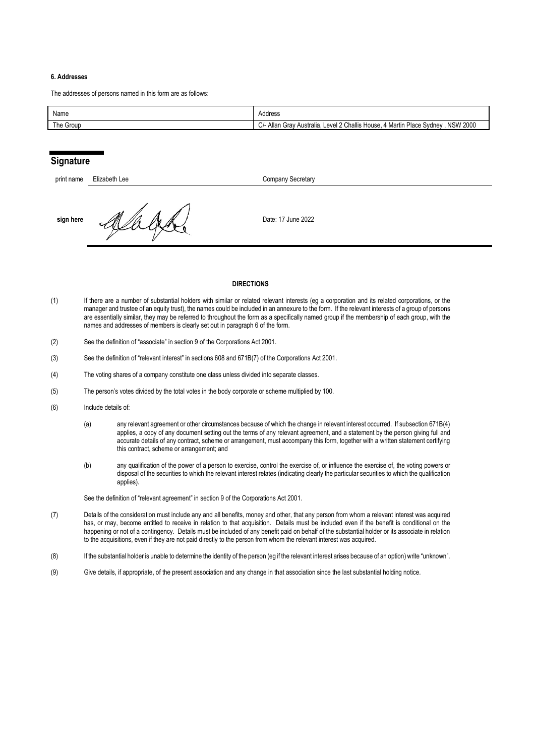### **6. Addresses**

The addresses of persons named in this form are as follows:

| Name      | Address                                                                                                                         |
|-----------|---------------------------------------------------------------------------------------------------------------------------------|
| The Group | <b>NSW 2000</b><br>Level 2 Challis H<br><sup>1</sup> Martin Place :<br>انـ⁄ـ Allan<br>House<br>, Svdnev<br>Australia.<br>, Grav |

### **Signature**

| print name | Elizabeth Lee | Company Secretary  |
|------------|---------------|--------------------|
| sign here  |               | Date: 17 June 2022 |

#### **DIRECTIONS**

- (1) If there are a number of substantial holders with similar or related relevant interests (eg a corporation and its related corporations, or the manager and trustee of an equity trust), the names could be included in an annexure to the form. If the relevant interests of a group of persons are essentially similar, they may be referred to throughout the form as a specifically named group if the membership of each group, with the names and addresses of members is clearly set out in paragraph 6 of the form.
- (2) See the definition of "associate" in section 9 of the Corporations Act 2001.
- (3) See the definition of "relevant interest" in sections 608 and 671B(7) of the Corporations Act 2001.
- (4) The voting shares of a company constitute one class unless divided into separate classes.
- (5) The person's votes divided by the total votes in the body corporate or scheme multiplied by 100.
- (6) Include details of:
	- (a) any relevant agreement or other circumstances because of which the change in relevant interest occurred. If subsection 671B(4) applies, a copy of any document setting out the terms of any relevant agreement, and a statement by the person giving full and accurate details of any contract, scheme or arrangement, must accompany this form, together with a written statement certifying this contract, scheme or arrangement; and
	- (b) any qualification of the power of a person to exercise, control the exercise of, or influence the exercise of, the voting powers or disposal of the securities to which the relevant interest relates (indicating clearly the particular securities to which the qualification applies).

See the definition of "relevant agreement" in section 9 of the Corporations Act 2001.

- (7) Details of the consideration must include any and all benefits, money and other, that any person from whom a relevant interest was acquired has, or may, become entitled to receive in relation to that acquisition. Details must be included even if the benefit is conditional on the happening or not of a contingency. Details must be included of any benefit paid on behalf of the substantial holder or its associate in relation to the acquisitions, even if they are not paid directly to the person from whom the relevant interest was acquired.
- (8) If the substantial holder is unable to determine the identity of the person (eg if the relevant interest arises because of an option) write "unknown".
- (9) Give details, if appropriate, of the present association and any change in that association since the last substantial holding notice.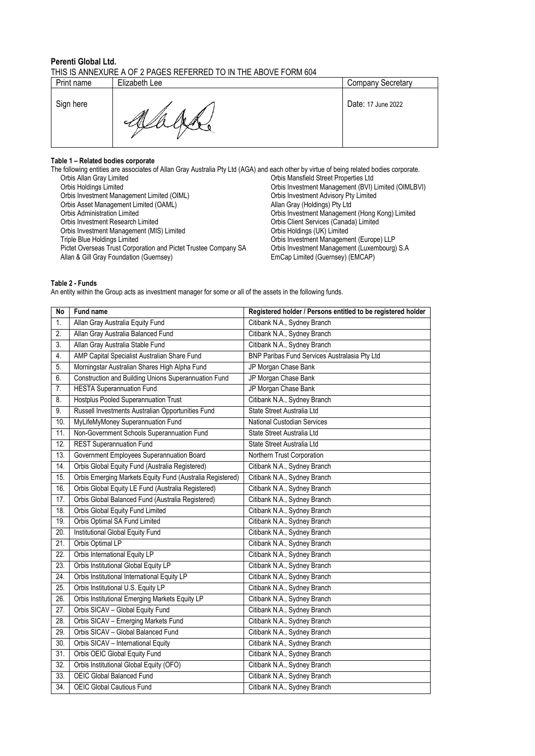### **Perenti Global Ltd.**  THIS IS ANNEXURE A OF 2 PAGES REFERRED TO IN THE ABOVE FORM 604

| Print name | Elizabeth Lee | <b>Company Secretary</b> |
|------------|---------------|--------------------------|
| Sign here  | M<br>₩        | Date: 17 June 2022       |

### **Table 1 – Related bodies corporate**

The following entities are associates of Allan Gray Australia Pty Ltd (AGA) and each other by virtue of being related bodies corporate. Orbis Allan Gray Limited Corbis Mansfield Street Properties Ltd<br>Orbis Holdings Limited Corbis Investment Management (BVI) Orbis Investment Management (BVI) Limited (OIMLBVI)<br>Orbis Investment Advisory Pty Limited Orbis Investment Management Limited (OIML) Orbis Investment Advisory Pty Crbis Asset Management Limited (OAML) Crbis Asset Management Limited (OAML) Orbis Asset Management Limited (OAML)<br>Orbis Administration Limited Orbis Administration Limited<br>Orbis Administration Limited Orbis Investment Management (Hong Kong) Limited<br>Orbis Investment Research Limited Orbis Client Services (Canada) Limited Orbis Client Services (Canada) Limited<br>Orbis Holdings (UK) Limited Orbis Investment Management (MIS) Limited<br>Triple Blue Holdings Limited Orbis Investment Management (Europe) LLP<br>Orbis Investment Management (Luxembourg) S.A Pictet Overseas Trust Corporation and Pictet Trustee Company SA Orbis Investment Management (Luxem Allan & Gill Gray Foundation (Guernsey) (S.A.C. EmCap Limited (Guernsey) (S.A.C. EmCap Limited (Guernsey) (S.A.C. EmCap Lim Allan & Gill Gray Foundation (Guernsey)

### **Table 2 - Funds**

An entity within the Group acts as investment manager for some or all of the assets in the following funds.

| <b>No</b>         | <b>Fund name</b>                                          | Registered holder / Persons entitled to be registered holder |
|-------------------|-----------------------------------------------------------|--------------------------------------------------------------|
| 1.                | Allan Gray Australia Equity Fund                          | Citibank N.A., Sydney Branch                                 |
| $\overline{2}$ .  | Allan Gray Australia Balanced Fund                        | Citibank N.A., Sydney Branch                                 |
| 3.                | Allan Gray Australia Stable Fund                          | Citibank N.A., Sydney Branch                                 |
| 4.                | AMP Capital Specialist Australian Share Fund              | BNP Paribas Fund Services Australasia Pty Ltd                |
| 5.                | Morningstar Australian Shares High Alpha Fund             | JP Morgan Chase Bank                                         |
| 6.                | Construction and Building Unions Superannuation Fund      | JP Morgan Chase Bank                                         |
| 7.                | <b>HESTA Superannuation Fund</b>                          | JP Morgan Chase Bank                                         |
| 8.                | Hostplus Pooled Superannuation Trust                      | Citibank N.A., Sydney Branch                                 |
| 9.                | Russell Investments Australian Opportunities Fund         | State Street Australia Ltd                                   |
| 10.               | MyLifeMyMoney Superannuation Fund                         | National Custodian Services                                  |
| 11.               | Non-Government Schools Superannuation Fund                | State Street Australia Ltd                                   |
| 12.               | <b>REST Superannuation Fund</b>                           | State Street Australia Ltd                                   |
| 13.               | Government Employees Superannuation Board                 | Northern Trust Corporation                                   |
| 14.               | Orbis Global Equity Fund (Australia Registered)           | Citibank N.A., Sydney Branch                                 |
| 15.               | Orbis Emerging Markets Equity Fund (Australia Registered) | Citibank N.A., Sydney Branch                                 |
| 16.               | Orbis Global Equity LE Fund (Australia Registered)        | Citibank N.A., Sydney Branch                                 |
| 17.               | Orbis Global Balanced Fund (Australia Registered)         | Citibank N.A., Sydney Branch                                 |
| 18.               | Orbis Global Equity Fund Limited                          | Citibank N.A., Sydney Branch                                 |
| 19.               | Orbis Optimal SA Fund Limited                             | Citibank N.A., Sydney Branch                                 |
| 20.               | Institutional Global Equity Fund                          | Citibank N.A., Sydney Branch                                 |
| 21.               | Orbis Optimal LP                                          | Citibank N.A., Sydney Branch                                 |
| 22.               | Orbis International Equity LP                             | Citibank N.A., Sydney Branch                                 |
| 23.               | Orbis Institutional Global Equity LP                      | Citibank N.A., Sydney Branch                                 |
| 24.               | Orbis Institutional International Equity LP               | Citibank N.A., Sydney Branch                                 |
| 25.               | Orbis Institutional U.S. Equity LP                        | Citibank N.A., Sydney Branch                                 |
| 26.               | Orbis Institutional Emerging Markets Equity LP            | Citibank N.A., Sydney Branch                                 |
| 27.               | Orbis SICAV - Global Equity Fund                          | Citibank N.A., Sydney Branch                                 |
| $\overline{28}$ . | Orbis SICAV - Emerging Markets Fund                       | Citibank N.A., Sydney Branch                                 |
| 29.               | Orbis SICAV - Global Balanced Fund                        | Citibank N.A., Sydney Branch                                 |
| 30.               | Orbis SICAV - International Equity                        | Citibank N.A., Sydney Branch                                 |
| $\overline{31}$ . | Orbis OEIC Global Equity Fund                             | Citibank N.A., Sydney Branch                                 |
| 32.               | Orbis Institutional Global Equity (OFO)                   | Citibank N.A., Sydney Branch                                 |
| 33.               | <b>OEIC Global Balanced Fund</b>                          | Citibank N.A., Sydney Branch                                 |
| 34.               | <b>OEIC Global Cautious Fund</b>                          | Citibank N.A., Sydney Branch                                 |